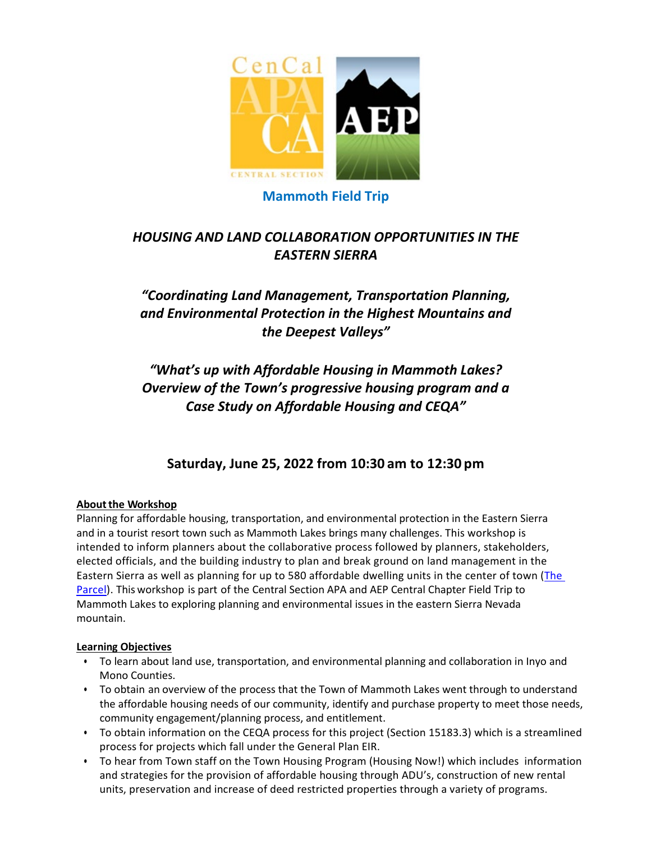

## **Mammoth Field Trip**

# *HOUSING AND LAND COLLABORATION OPPORTUNITIES IN THE EASTERN SIERRA*

# *"Coordinating Land Management, Transportation Planning, and Environmental Protection in the Highest Mountains and the Deepest Valleys"*

*"What's up with Affordable Housing in Mammoth Lakes? Overview of the Town's progressive housing program and a Case Study on Affordable Housing and CEQA"*

# **Saturday, June 25, 2022 from 10:30 am to 12:30 pm**

## **About the Workshop**

Planning for affordable housing, transportation, and environmental protection in the Eastern Sierra and in a tourist resort town such as Mammoth Lakes brings many challenges. This workshop is intended to inform planners about the collaborative process followed by planners, stakeholders, elected officials, and the building industry to plan and break ground on land management in the Eastern Sierra as well as planning for up to 580 affordable dwelling units in the center of town (The [Parcel\)](https://www.townofmammothlakes.ca.gov/882/The-Parcel). This workshop is part of the Central Section APA and AEP Central Chapter Field Trip to Mammoth Lakes to exploring planning and environmental issues in the eastern Sierra Nevada mountain.

## **Learning Objectives**

- To learn about land use, transportation, and environmental planning and collaboration in Inyo and Mono Counties.
- To obtain an overview of the process that the Town of Mammoth Lakes went through to understand the affordable housing needs of our community, identify and purchase property to meet those needs, community engagement/planning process, and entitlement.
- To obtain information on the CEQA process for this project (Section 15183.3) which is a streamlined process for projects which fall under the General Plan EIR.
- To hear from Town staff on the Town Housing Program (Housing Now!) which includes information and strategies for the provision of affordable housing through ADU's, construction of new rental units, preservation and increase of deed restricted properties through a variety of programs.